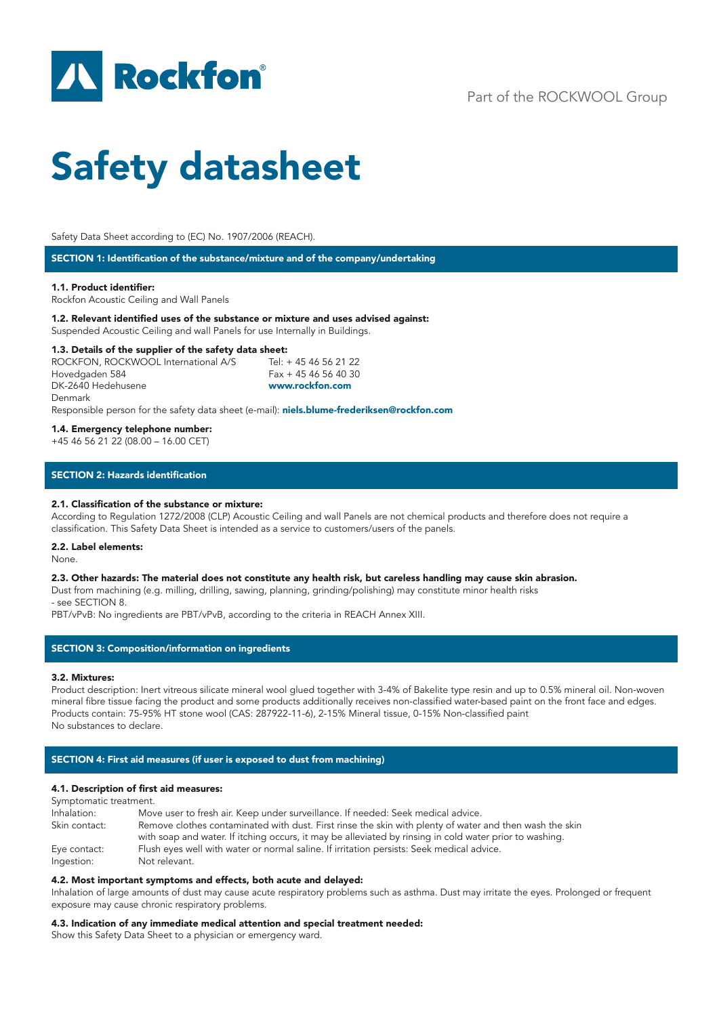

# Part of the ROCKWOOL Group

# Safety datasheet

Safety Data Sheet according to (EC) No. 1907/2006 (REACH).

SECTION 1: Identification of the substance/mixture and of the company/undertaking

### 1.1. Product identifier:

Rockfon Acoustic Ceiling and Wall Panels

1.2. Relevant identified uses of the substance or mixture and uses advised against:

Suspended Acoustic Ceiling and wall Panels for use Internally in Buildings.

# **1.3. Details of the supplier of the safety data sheet:**<br>ROCKFON, ROCKWOOL International A/S Tel: +4546562122

ROCKFON, ROCKWOOL International A/S Hovedgaden 584 Fax + 45 46 56 40 30 DK-2640 Hedehusene www.rockfon.com Denmark

Responsible person for the safety data sheet (e-mail): niels.blume-frederiksen@rockfon.com

### 1.4. Emergency telephone number:

+45 46 56 21 22 (08.00 – 16.00 CET)

# SECTION 2: Hazards identification

### 2.1. Classification of the substance or mixture:

According to Regulation 1272/2008 (CLP) Acoustic Ceiling and wall Panels are not chemical products and therefore does not require a classification. This Safety Data Sheet is intended as a service to customers/users of the panels.

### 2.2. Label elements:

None.

### 2.3. Other hazards: The material does not constitute any health risk, but careless handling may cause skin abrasion.

Dust from machining (e.g. milling, drilling, sawing, planning, grinding/polishing) may constitute minor health risks - see SECTION 8.

PBT/vPvB: No ingredients are PBT/vPvB, according to the criteria in REACH Annex XIII.

# SECTION 3: Composition/information on ingredients

### 3.2. Mixtures:

Product description: Inert vitreous silicate mineral wool glued together with 3-4% of Bakelite type resin and up to 0.5% mineral oil. Non-woven mineral fibre tissue facing the product and some products additionally receives non-classified water-based paint on the front face and edges. Products contain: 75-95% HT stone wool (CAS: 287922-11-6), 2-15% Mineral tissue, 0-15% Non-classified paint No substances to declare.

### SECTION 4: First aid measures (if user is exposed to dust from machining)

### 4.1. Description of first aid measures:

| Symptomatic treatment.     |                                                                                                                                                                                                                    |
|----------------------------|--------------------------------------------------------------------------------------------------------------------------------------------------------------------------------------------------------------------|
| Inhalation:                | Move user to fresh air. Keep under surveillance. If needed: Seek medical advice.                                                                                                                                   |
| Skin contact:              | Remove clothes contaminated with dust. First rinse the skin with plenty of water and then wash the skin<br>with soap and water. If itching occurs, it may be alleviated by rinsing in cold water prior to washing. |
| Eye contact:<br>Ingestion: | Flush eyes well with water or normal saline. If irritation persists: Seek medical advice.<br>Not relevant.                                                                                                         |

### 4.2. Most important symptoms and effects, both acute and delayed:

Inhalation of large amounts of dust may cause acute respiratory problems such as asthma. Dust may irritate the eyes. Prolonged or frequent exposure may cause chronic respiratory problems.

### 4.3. Indication of any immediate medical attention and special treatment needed:

Show this Safety Data Sheet to a physician or emergency ward.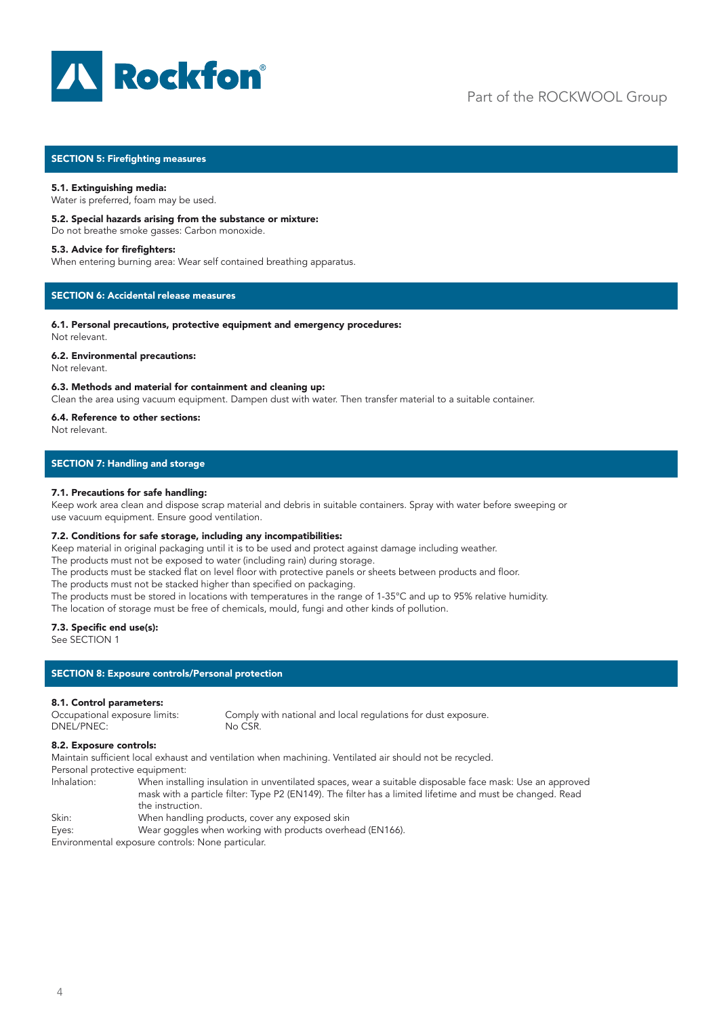

# SECTION 5: Firefighting measures

### 5.1. Extinguishing media:

Water is preferred, foam may be used.

### 5.2. Special hazards arising from the substance or mixture:

Do not breathe smoke gasses: Carbon monoxide.

### 5.3. Advice for firefighters:

When entering burning area: Wear self contained breathing apparatus.

# SECTION 6: Accidental release measures

#### 6.1. Personal precautions, protective equipment and emergency procedures: Not relevant.

### 6.2. Environmental precautions:

Not relevant.

### 6.3. Methods and material for containment and cleaning up:

Clean the area using vacuum equipment. Dampen dust with water. Then transfer material to a suitable container.

### 6.4. Reference to other sections:

Not relevant.

### SECTION 7: Handling and storage

### 7.1. Precautions for safe handling:

Keep work area clean and dispose scrap material and debris in suitable containers. Spray with water before sweeping or use vacuum equipment. Ensure good ventilation.

### 7.2. Conditions for safe storage, including any incompatibilities:

Keep material in original packaging until it is to be used and protect against damage including weather.

The products must not be exposed to water (including rain) during storage.

The products must be stacked flat on level floor with protective panels or sheets between products and floor.

The products must not be stacked higher than specified on packaging.

The products must be stored in locations with temperatures in the range of 1-35°C and up to 95% relative humidity.

The location of storage must be free of chemicals, mould, fungi and other kinds of pollution.

# 7.3. Specific end use(s):

See SECTION 1

### SECTION 8: Exposure controls/Personal protection

# 8.1. Control parameters:

Occupational exposure limits: Comply with national and local regulations for dust exposure. DNEL/PNEC: No CSR.

### 8.2. Exposure controls:

Maintain sufficient local exhaust and ventilation when machining. Ventilated air should not be recycled.

Personal protective equipment:

Inhalation: When installing insulation in unventilated spaces, wear a suitable disposable face mask: Use an approved mask with a particle filter: Type P2 (EN149). The filter has a limited lifetime and must be changed. Read the instruction.<br>Skin: When handling When handling products, cover any exposed skin Eyes: Wear goggles when working with products overhead (EN166).

Environmental exposure controls: None particular.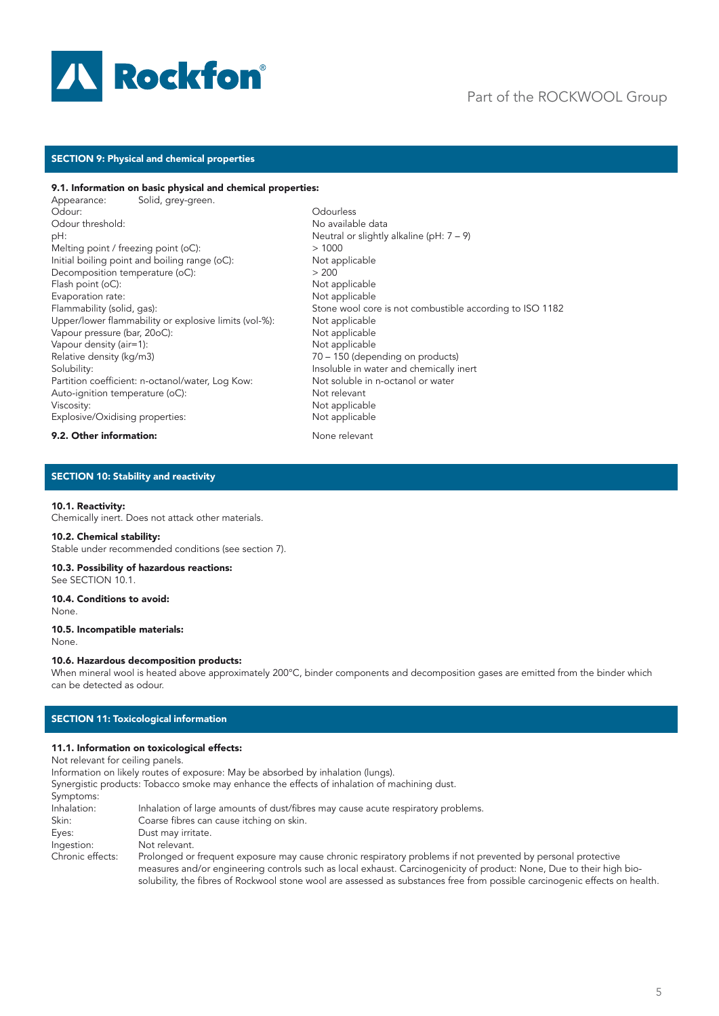

# Part of the ROCKWOOL Group

# SECTION 9: Physical and chemical properties

# 9.1. Information on basic physical and chemical properties:

Appearance: Solid, grey-green.<br>Odour: Odour: Odourless pH:<br>
Meutral or slightly alkaline (pH: 7 – 9)<br>
Melting point / freezing point (oC):<br>
> 1000 Melting point / freezing point ( $oC$ ): Initial boiling point and boiling range (oC): Not applicable<br>Decomposition temperature (oC):  $>200$ Decomposition temperature (oC):  $> 200$ <br>
Flash point (oC):  $\qquad \qquad$  Not applicable Flash point  $(oC)$ : Evaporation rate:<br>
Flammability (solid, gas):<br>
Stone wool cor Upper/lower flammability or explosive limits (vol-%): Not applicable Vapour pressure (bar, 20oC): Not applicable Vapour density (air=1): Not applicable Relative density (kg/m3) 70 – 150 (depending on products) Solubility: Insoluble in water and chemically inert Partition coefficient: n-octanol/water, Log Kow: Not soluble in n-octanol or water<br>Auto-ianition temperature (oC): Not relevant Auto-ignition temperature (oC): Viscosity: Not applicable<br>
Explosive/Oxidising properties: Not applicable Explosive/Oxidising properties:

No available data Stone wool core is not combustible according to ISO 1182

### **9.2. Other information:** None relevant

# SECTION 10: Stability and reactivity

### 10.1. Reactivity:

Chemically inert. Does not attack other materials.

### 10.2. Chemical stability:

Stable under recommended conditions (see section 7).

#### 10.3. Possibility of hazardous reactions: See SECTION 10.1.

10.4. Conditions to avoid:

None.

### 10.5. Incompatible materials:

None.

#### 10.6. Hazardous decomposition products:

When mineral wool is heated above approximately 200°C, binder components and decomposition gases are emitted from the binder which can be detected as odour.

# SECTION 11: Toxicological information

### 11.1. Information on toxicological effects:

Not relevant for ceiling panels.

Information on likely routes of exposure: May be absorbed by inhalation (lungs).

Synergistic products: Tobacco smoke may enhance the effects of inhalation of machining dust. Symptoms: Inhalation: Inhalation of large amounts of dust/fibres may cause acute respiratory problems. Skin: Coarse fibres can cause itching on skin. Eyes: Dust may irritate.<br>
Ingestion: Not relevant. Not relevant. Chronic effects: Prolonged or frequent exposure may cause chronic respiratory problems if not prevented by personal protective measures and/or engineering controls such as local exhaust. Carcinogenicity of product: None, Due to their high biosolubility, the fibres of Rockwool stone wool are assessed as substances free from possible carcinogenic effects on health.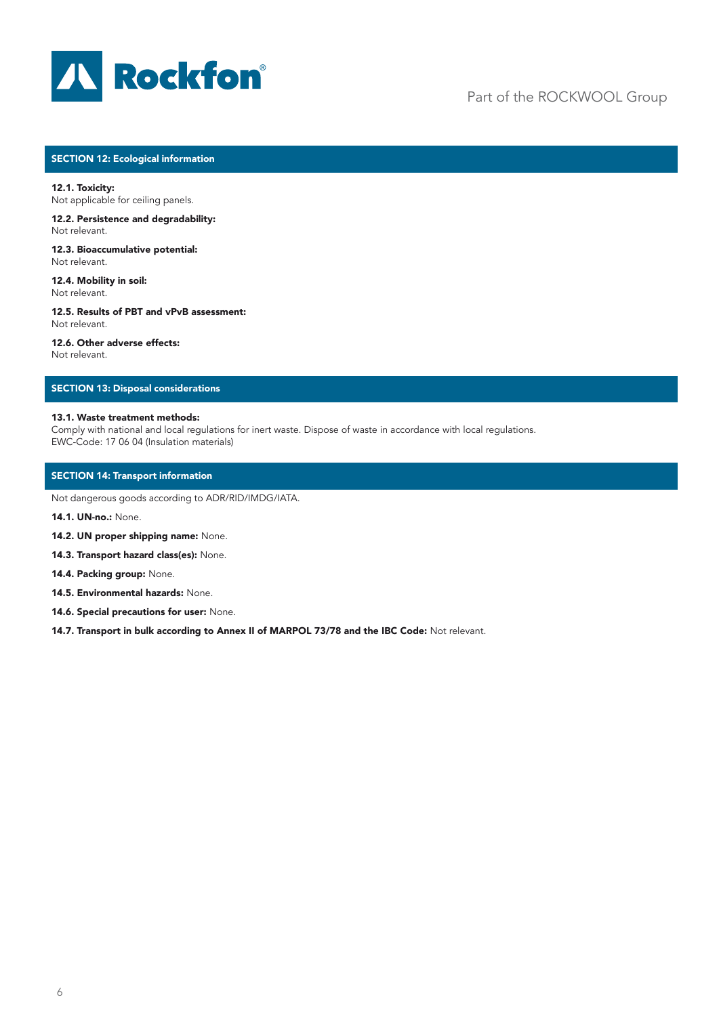

# Part of the ROCKWOOL Group

# SECTION 12: Ecological information

12.1. Toxicity: Not applicable for ceiling panels.

12.2. Persistence and degradability: Not relevant.

12.3. Bioaccumulative potential: Not relevant.

12.4. Mobility in soil: Not relevant.

12.5. Results of PBT and vPvB assessment: Not relevant.

12.6. Other adverse effects: Not relevant.

# SECTION 13: Disposal considerations

# 13.1. Waste treatment methods:

Comply with national and local regulations for inert waste. Dispose of waste in accordance with local regulations. EWC-Code: 17 06 04 (Insulation materials)

# SECTION 14: Transport information

Not dangerous goods according to ADR/RID/IMDG/IATA.

14.1. UN-no.: None.

- 14.2. UN proper shipping name: None.
- 14.3. Transport hazard class(es): None.

14.4. Packing group: None.

14.5. Environmental hazards: None.

14.6. Special precautions for user: None.

14.7. Transport in bulk according to Annex II of MARPOL 73/78 and the IBC Code: Not relevant.